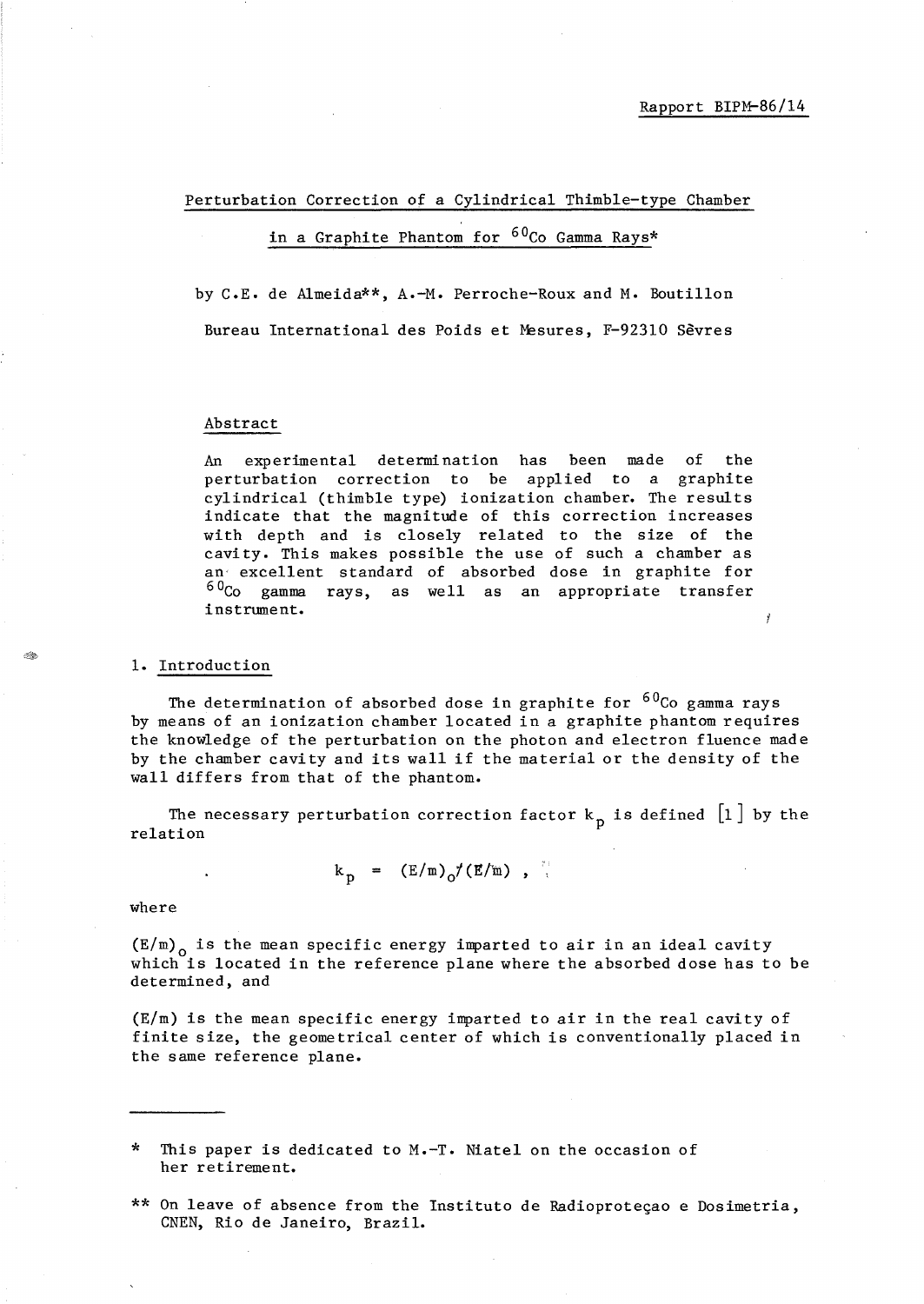Perturbation Correction of a Cylindrical Thimble-type Chamber

# in a Graphite Phantom for <sup>60</sup>Co Gamma Rays\*

by C.E. de Almeida\*\*, A.-M. Perroche-Roux and M. Boutillon Bureau International des Poids et Mesures, F-923l0 Sevres

#### Abstract

An experimental determination has been made of the perturbation correction to be applied to a graphite cylindrical (thimble type) ionization chamber. The results indicate that the magnitude of this correction increases with depth and is closely related to the size of the cavity. This makes possible the use of such a chamber as an' excellent standard of absorbed dose in graphite for  $60<sub>CO</sub>$  gamma rays, as well as an appropriate transfer instrument.

## 1. Introduction

The determination of absorbed dose in graphite for  $60C$ o gamma rays by means of an ionization chamber located in a graphite phantom requires the knowledge of the perturbation on the photon and electron fluence made by the chamber cavity and its wall if the material or the density of the wall differs from that of the phantom.

The necessary perturbation correction factor  $k_{n}$  is defined  $\lfloor 1 \rfloor$  by the relation

$$
k_{\rm p} = (E/m)_{\rm o}/(E/m) ,
$$

where

 $(E/m)$ <sub>0</sub> is the mean specific energy imparted to air in an ideal cavity which is located in the reference plane where the absorbed dose has to be determined, and

(E/m) is the mean specific energy imparted to air in the real cavity of finite size, the geometrical center of which is conventionally placed in the same reference plane.

This paper is dedicated to  $M.-T.$  Niatel on the occasion of her retirement.

\*\* On leave of absence from the Instituto de Radioproteçao e Dosimetria, CNEN, Rio de Janeiro, Brazil.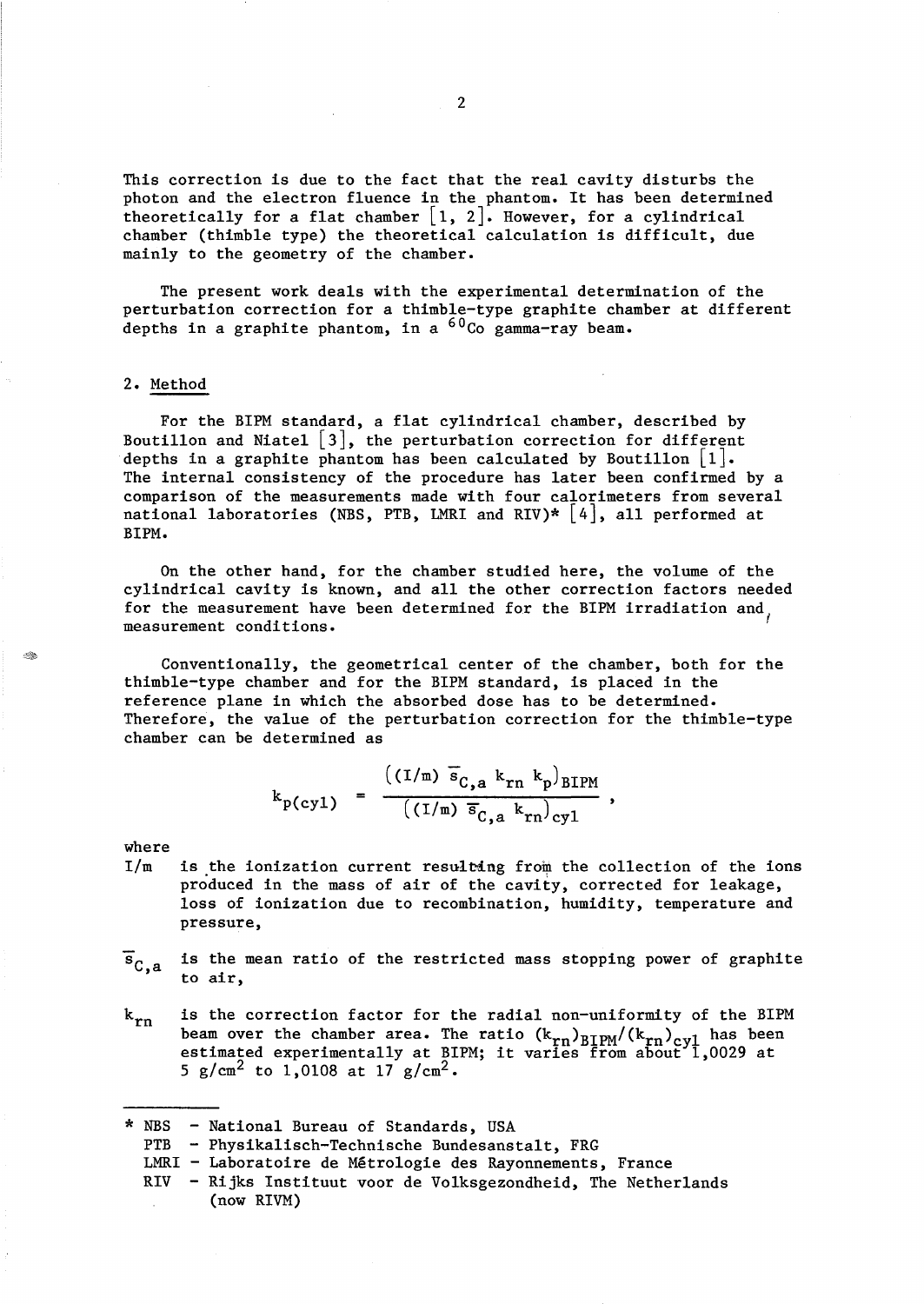This correction is due to the fact that the real cavity disturbs the photon and the electron fluence in the phantom. It has been determined theoretically for a flat chamber  $[1, 2]$ . However, for a cylindrical chamber (thimble type) the theoretical calculation is difficult, due mainly to the geometry of the chamber.

The present work deals with the experimental determination of the perturbation correction for a thimble-type graphite chamber at different depths in a graphite phantom, in a  ${}^{60}$ Co gamma-ray beam.

# 2. Method

For the BIPM standard, a flat cylindrical chamber, described by Boutillon and Niatel  $\lfloor 3 \rfloor$ , the perturbation correction for different depths in a graphite phantom has been calculated by Boutillon  $\lfloor 1 \rfloor$ . The internal consistency of the procedure has later been confirmed by a comparison of the measurements made with four calorimeters from several national laboratories (NBS, PTB, LMRI and RIV)\*  $[4]$ , all performed at BIPM.

On the other hand, for the chamber studied here, the volume of the cylindrical cavity is known, and all the other correction factors needed for the measurement have been determined for the BIPM irradiation and, measurement conditions.

Conventionally, the geometrical center of the chamber, both for the thimble-type chamber and for the BIPM standard, is placed in the reference plane in which the absorbed dose has to be determined. Therefore, the value of the perturbation correction for the thimble-type chamber can be determined as

$$
k_{p(cyl)} = \frac{((I/m) \bar{s}_{C,a} k_{rn} k_p)_{BIPM}}{((I/m) \bar{s}_{C,a} k_{rn})_{cyl}},
$$

where

<u>I</u>

- $I/m$ is the ionization current resulting from the collection of the ions produced in the mass of air of the cavity, corrected for leakage, loss of ionization due to recombination, humidity, temperature and pressure,
- $\overline{s}_{C,a}$ is the mean ratio of the restricted mass stopping power of graphite to air,
- $k_{rn}$ is the correction factor for the radial non-uniformity of the BIPM beam over the chamber area. The ratio  $(k_{rn})_{\text{BIPM}}/(k_{rn})_{\text{cyl}}$  has been beam over the enamber area: the racio (\*rn/BIPM' '\*rn/cyl has been<br>estimated experimentally at BIPM; it varies from about 1,0029 at 5 g/cm<sup>2</sup> to 1,0108 at  $17 \text{ g/cm}^2$ .

\* NBS - National Bureau of Standards, USA

- PTB Physikalisch-Technische Bundesanstalt, FRG
- LMRI Laboratoire de Métrologie des Rayonnements, France
- RIV Rijks Instituut voor de Volksgezondheid, The Netherlands (now RIVM)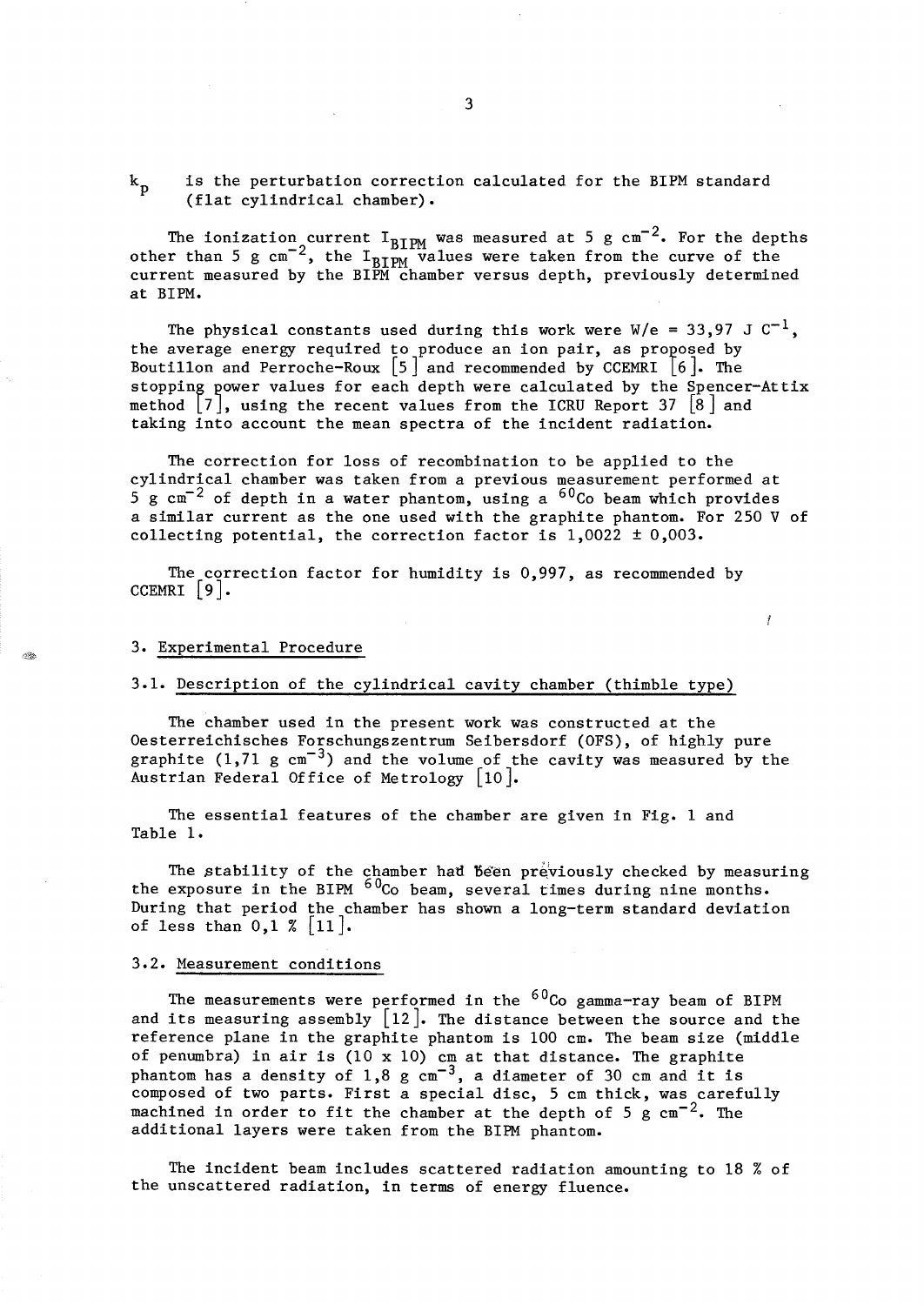is the perturbation correction calculated for the BIPM standard  $k_{\rm p}$ (flat cylindrical chamber).

The ionization current  $\texttt{I}_{\texttt{BIPM}}$  was measured at 5 g cm $^{-2}$ . For the depths other than 5 g  $\text{cm}^{-2}$ , the I<sub>BIPM</sub> values were taken from the curve of the current measured by the BIPM chamber versus depth, previously determined at BIPM.

The physical constants used during this work were  $W/e = 33,97$  J  $C^{-1}$ , the average energy required to produce an ion pair, as proposed by Boutillon and Perroche-Roux  $\begin{bmatrix} 5 \end{bmatrix}$  and recommended by CCEMRI  $\begin{bmatrix} 6 \end{bmatrix}$ . The stopping power values for each depth were calculated by the Spencer-Attix method  $|7|$ , using the recent values from the ICRU Report 37  $|8|$  and taking into account the mean spectra of the incident radiation.

The correction for loss of recombination to be applied to the cylindrical chamber was taken from a previous measurement performed at  $5 g cm<sup>-2</sup>$  of depth in a water phantom, using a  $60<sup>2</sup>$  beam which provides a similar current as the one used with the graphite phantom. For 250 V of collecting potential, the correction factor is  $1,0022 \pm 0,003$ .

The correction factor for humidity is 0,997, as recommended by CCEMRI  $\vert 9 \vert$ .

#### Ĭ

## 3. Experimental Procedure

# 3.1. Description of the cylindrical cavity chamber (thimble type)

The chamber used in the present work was constructed at the Oesterreichisches Forschungszentrum Seibersdorf (OFS), of highly pure graphite  $(1,71 \text{ g cm}^{-3})$  and the volume of the cavity was measured by the Austrian Federal Office of Metrology [10].

The essential features of the chamber are given in Fig. 1 and Table 1.

The stability of the chamber had been previously checked by measuring the exposure in the BIPM  $60C$  beam, several times during nine months. During that period the chamber has shown a long-term standard deviation of less than  $0,1 \times |11|$ .

#### 3.2. Measurement conditions

The measurements were performed in the  ${}^{60}$ Co gamma-ray beam of BIPM and its measuring assembly  $[12]$ . The distance between the source and the reference plane in the graphite phantom is 100 cm. The beam size (middle of penumbra) in air is (10 x 10) cm at that distance. The graphite phantom has a density of  $1,8 \text{ g cm}^{-3}$ , a diameter of 30 cm and it is composed of two parts. First a special disc, 5 cm thick, was carefully machined in order to fit the chamber at the depth of 5 g  $cm^{-2}$ . The additional layers were taken from the BIPM phantom.

The incident beam includes scattered radiation amounting to 18 % of the unscattered radiation, in terms of energy fluence.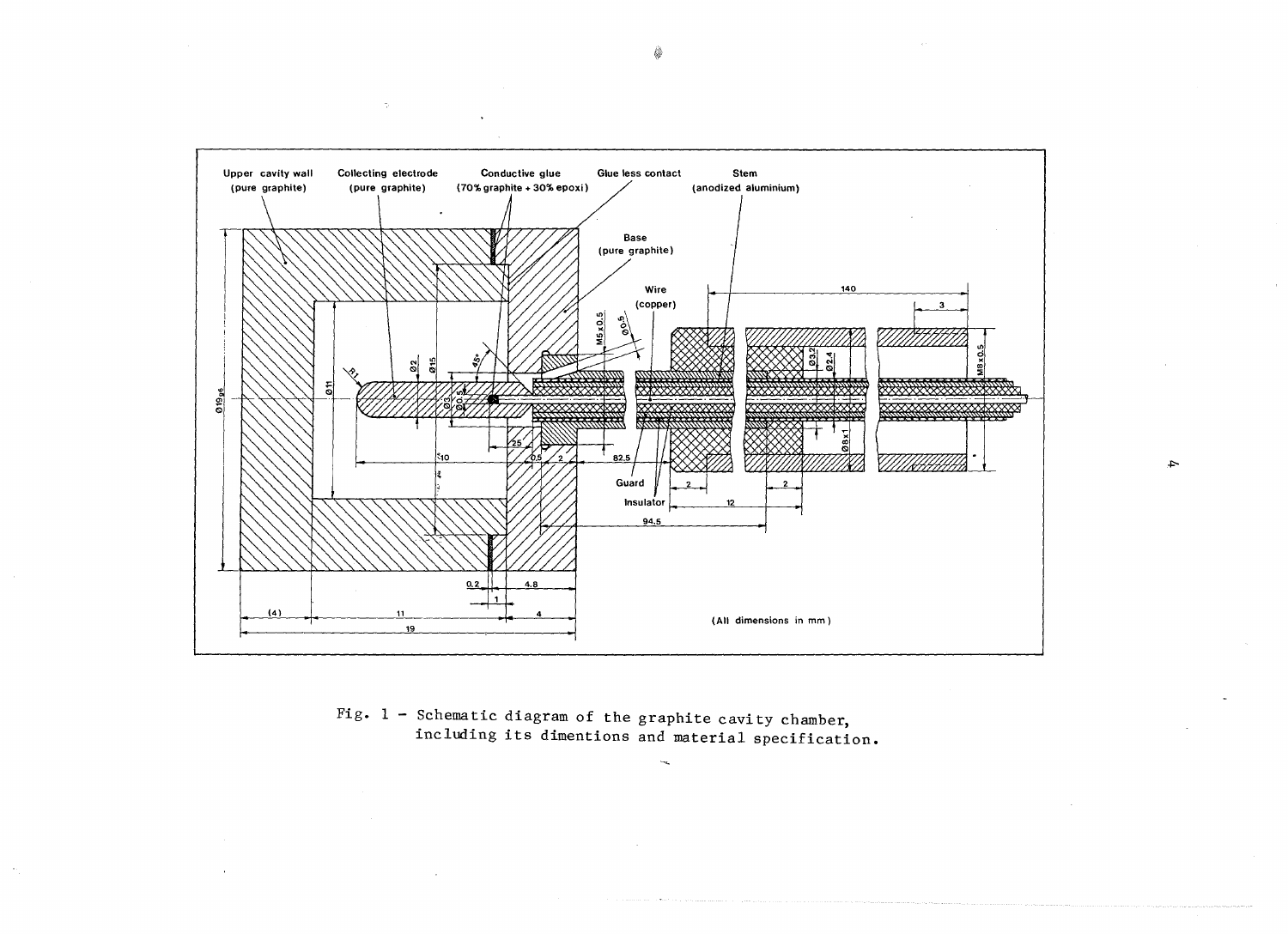

 $\rightarrow$ 

Fig.  $1$  - Schematic diagram of the graphite cavity chamber, including its dimentions and material specification.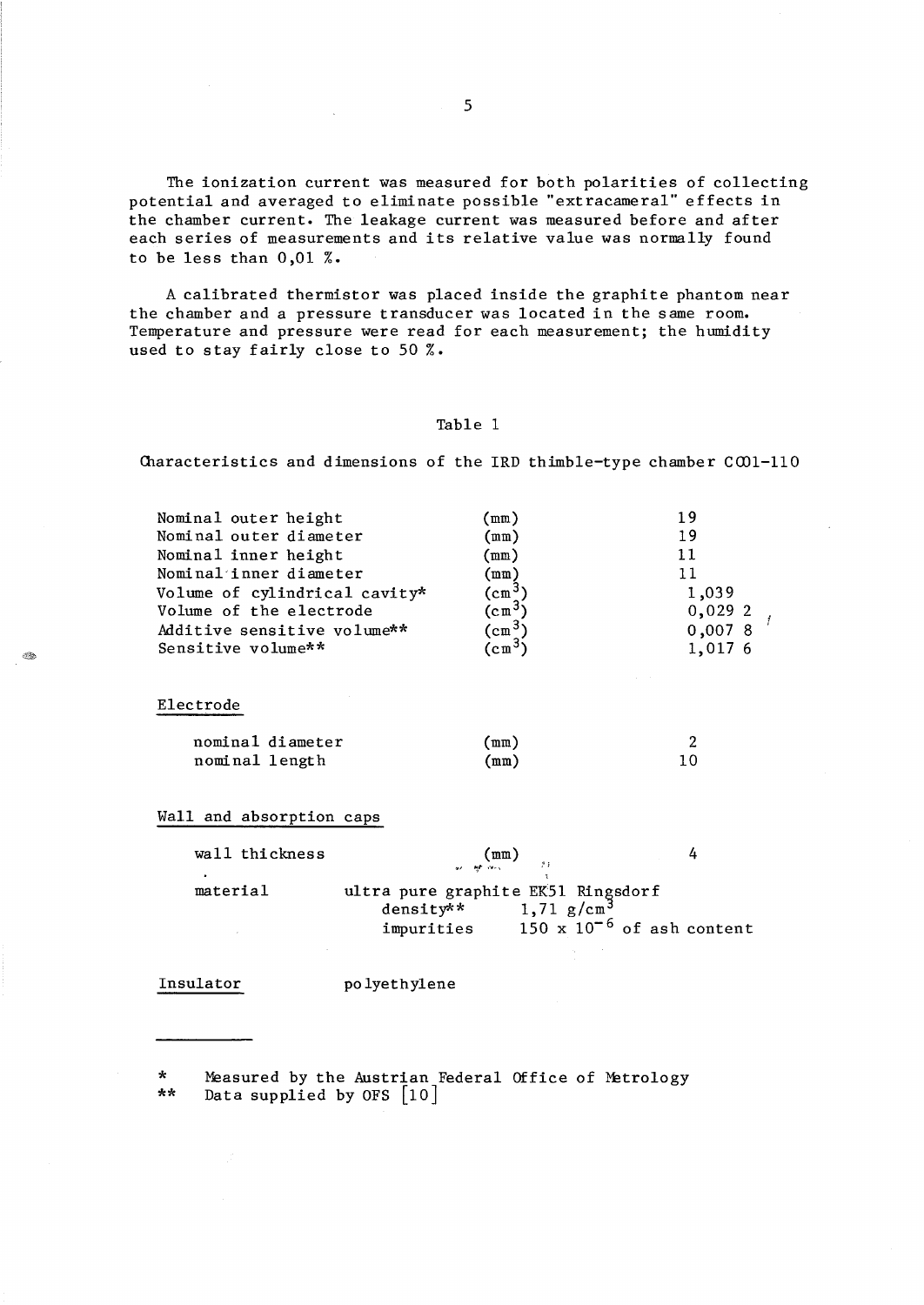The ionization current was measured for both polarities of collecting potential and averaged to eliminate possible "extracameral" effects in the chamber current. The leakage current was measured before and after each series of measurements and its relative value was normally found to be less than 0,01 %.

A calibrated thermistor was placed inside the graphite phantom near the chamber and a pressure transducer was located in the same room. Temperature and pressure were read for each measurement; the humidity used to stay fairly close to 50 %.

#### Table 1

Characteristics and dimensions of the IRD thimble-type chamber  $COM-110$ 

| Nominal outer height          | $\texttt{(mm)}$ | 19      |
|-------------------------------|-----------------|---------|
| Nominal outer diameter        | (mm)            | 19      |
| Nominal inner height          | (mm)            | 11      |
| Nominal inner diameter        | $(\texttt{mm})$ | 11      |
| Volume of cylindrical cavity* | $(Cm^3)$        | 1,039   |
| Volume of the electrode       | $(Cm^{3}$       | 0,0292  |
| Additive sensitive volume**   | $(Cm^{3})$      | 0,0078  |
| Sensitive volume**            | $(Cm^{3}$       | 1,017 6 |
|                               |                 |         |
|                               |                 |         |

# Electrode

- 43

| nominal diameter | (mm) |  |
|------------------|------|--|
| nominal length   | (mm) |  |

Wall and absorption caps

| ultra pure graphite EK51 Ringsdorf |                                                        |
|------------------------------------|--------------------------------------------------------|
|                                    |                                                        |
| impurities                         | $150 \times 10^{-6}$ of ash content                    |
|                                    | $\binom{mm}{\cdots m}$<br>$density**$<br>1,71 $g/cm^3$ |

#### Insulator po lyethylene

\* Measured by the Austrian Federal Office of Metrology Data supplied by OFS  $[10]$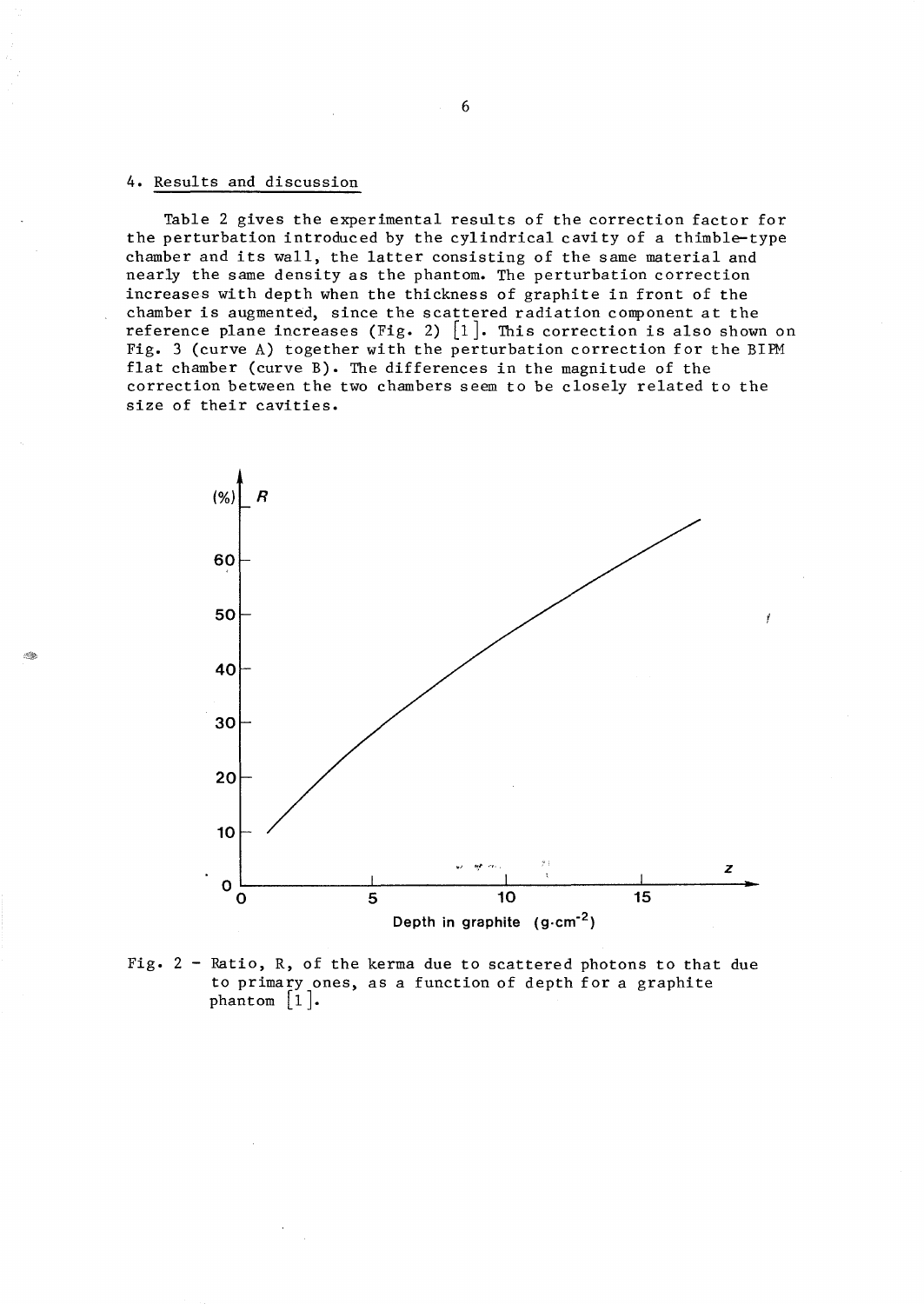# 4. Results and discussion

Table 2 gives the experimental results of the correction factor for the perturbation introduced by the cylindrical cavi ty of a thimble-type chamber and its wall, the latter consisting of the same material and nearly the same density as the phantom. The perturbation correction increases with depth when the thickness of graphite in front of the chamber is augmented, since the scattered radiation component at the reference plane increases (Fig. 2)  $[1]$ . This correction is also shown on Fig. 3 (curve A) together with the perturbation correction for the BIPM flat chamber (curve B). The differences in the magnitude of the correction between the two chambers seem to be closely related to the size of their cavities.



Fig. 2 - Ratio, R, of the kerma due to scattered photons to that due to primary ones, as a function of depth for a graphite phantom  $\lceil 1 \rceil$ .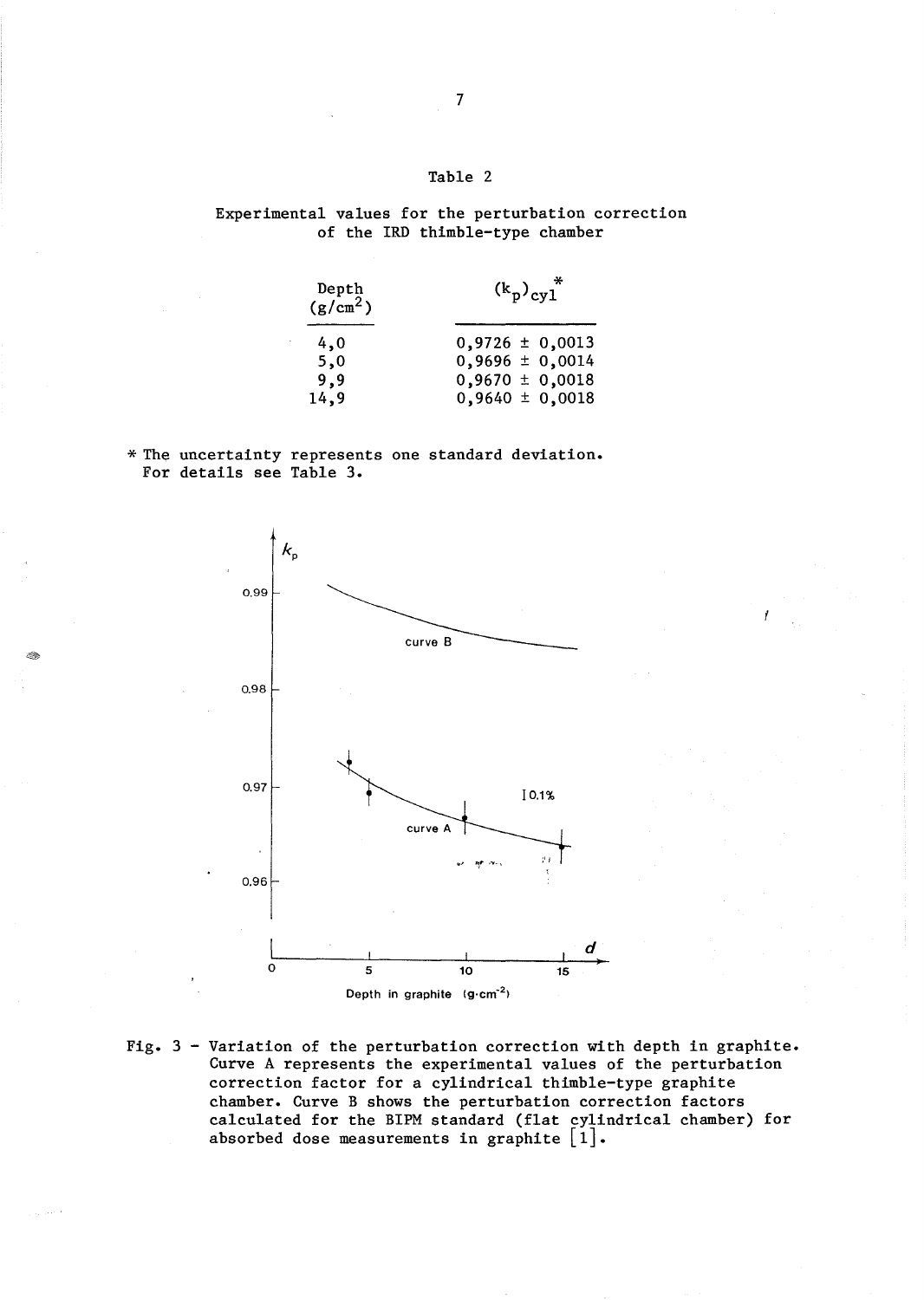# Table 2

Experimental values for the perturbation correction of the IRD thimble-type chamber

| Depth<br>(g/cm <sup>2</sup> ) | $(k_p)_{cy1}$ *     |
|-------------------------------|---------------------|
| 4,0                           | $0,9726 \pm 0,0013$ |
| 5,0                           | $0,9696 \pm 0,0014$ |
| 9,9                           | $0,9670 \pm 0,0018$ |
| 14,9                          | $0,9640 \pm 0,0018$ |

\* The uncertainty represents one standard deviation. For details see Table 3.



Fig. 3 - Variation of the perturbation correction with depth in graphite. Curve A represents the experimental values of the perturbation correction factor for a cylindrical thimble-type graphite chamber. Curve B shows the perturbation correction factors calculated for the BIPM standard (flat cylindrical chamber) for absorbed dose measurements in graphite  $\lfloor 1 \rfloor$ .

感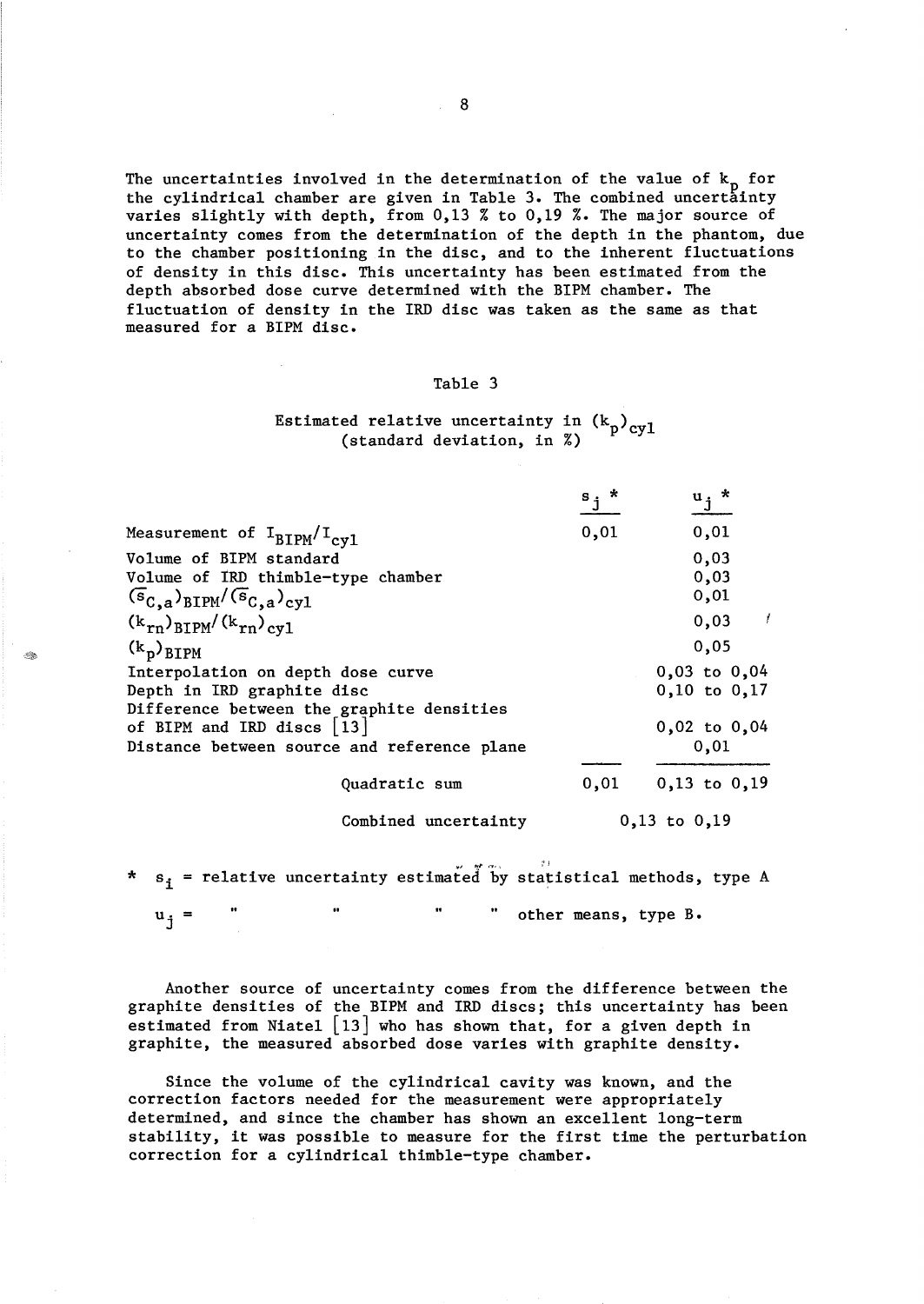The uncertainties involved in the determination of the value of  $k_p$  for the cylindrical chamber are given in Table 3. The combined uncertainty varies slightly with depth, from 0,13 % to 0,19 %. The major source of uncertainty comes from the determination of the depth in the phantom, due to the chamber positioning in the disc, and to the inherent fluctuations of density in this disc. This uncertainty has been estimated from the depth absorbed dose curve determined with the BIPM chamber. The fluctuation of density in the IRD disc was taken as the same as that measured for a BIPM disc.

# Table 3

# Estimated relative uncertainty in  $(k_p)_{\text{cv1}}$ (standard deviation, in %)

|                                                                        | s,   | $\mathbf{u_j}^*$      |
|------------------------------------------------------------------------|------|-----------------------|
| Measurement of $I_{BIPM}/I_{cyl}$                                      | 0,01 | 0,01                  |
| Volume of BIPM standard                                                |      | 0,03                  |
| Volume of IRD thimble-type chamber                                     |      | 0,03                  |
| $(\overline{s}_{C,a})_{\text{BIPM}}/(\overline{s}_{C,a})_{\text{cyl}}$ |      | 0,01                  |
| $(k_{rn})_{\text{BIPM}}/(k_{rn})_{\text{cyl}}$                         |      | $\mathcal{I}$<br>0,03 |
| $(k_p)$ <sub>BIPM</sub>                                                |      | 0,05                  |
| Interpolation on depth dose curve                                      |      | $0,03$ to $0,04$      |
| Depth in IRD graphite disc                                             |      | $0,10$ to $0,17$      |
| Difference between the graphite densities                              |      |                       |
| of BIPM and IRD discs $ 13 $                                           |      | $0,02$ to $0,04$      |
| Distance between source and reference plane                            |      | 0,01                  |
|                                                                        |      |                       |
| Quadratic sum                                                          | 0,01 | $0,13$ to $0,19$      |
| Combined uncertainty                                                   |      | $0,13$ to $0,19$      |

\*  $s_i$  = relative uncertainty estimated by statistical methods, type A

 $u_i$  =

2.

other means, type B.

Another source of uncertainty comes from the difference between the graphite densities of the BIPM and IRD discs; this uncertainty has been estimated from Niatel [13] who has shown that, for a given depth in graphite, the measured absorbed dose varies with graphite density.

Since the volume of the cylindrical cavity was known, and the correction factors needed for the measurement were appropriately determined, and since the chamber has shown an excellent long-term stability, it was possible to measure for the first time the perturbation correction for a cylindrical thimble-type chamber.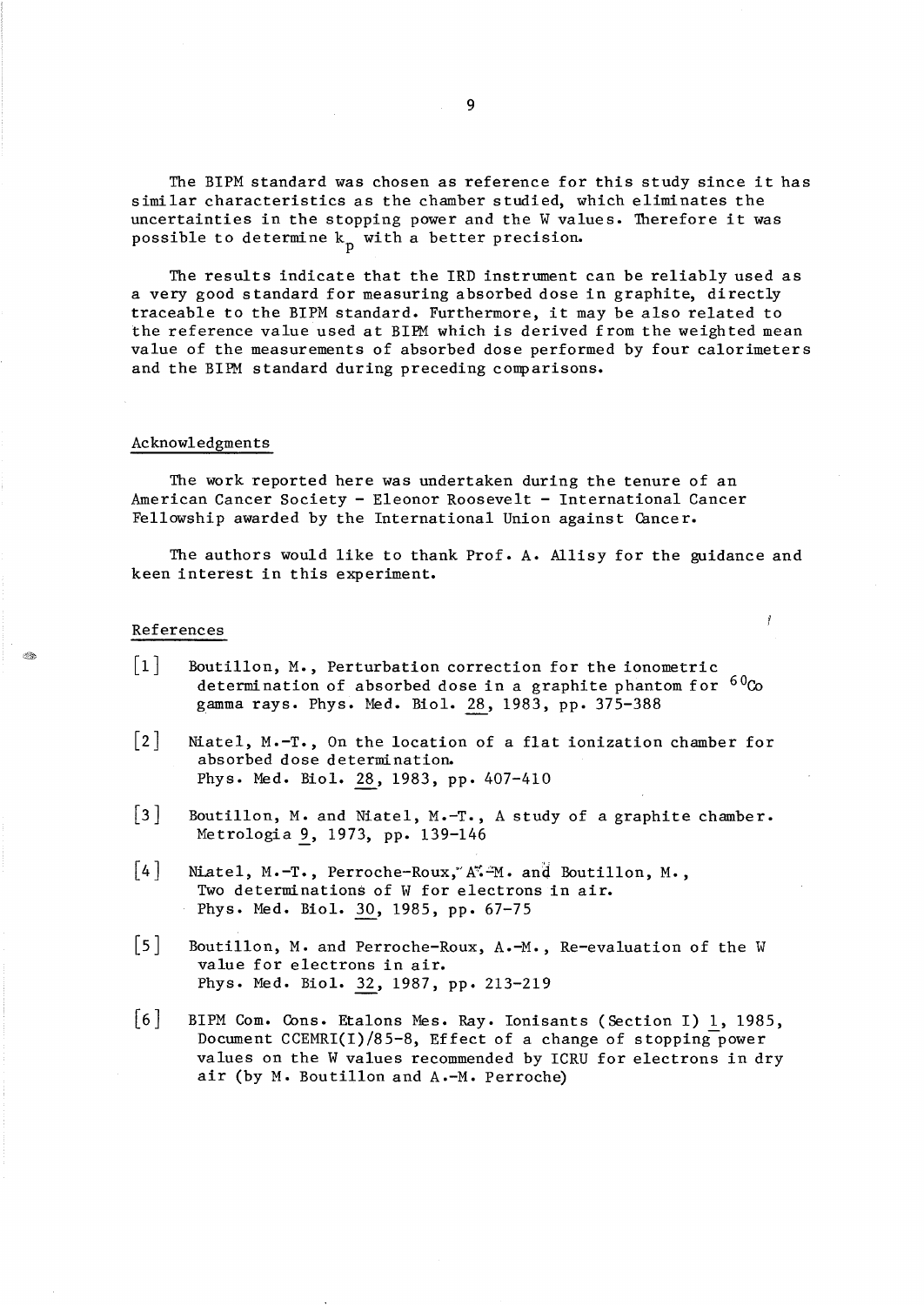The BIPM standard was chosen as reference for this study since it has similar characteristics as the chamber studied, which eliminates the uncertainties in the stopping power and the W values. Therefore it was possible to determine  $k_{p}$  with a better precision.

The results indicate that the IRD instrument can be reliably used as a very good standard for measuring absorbed dose in graphite, directly traceable to the BIPM standard. Furthermore, it may be also related to the reference value used at BIPM which is derived from the weighted mean value of the measurements of absorbed dose performed by four calorimeters and the BIPM standard during preceding comparisons.

#### Acknowledgments

The work reported here was undertaken during the tenure of an American Cancer Society - Eleonor Roosevelt - International Cancer Fellowship awarded by the International Union against Cancer.

The authors would like to thank Prof. A. Allisy for the guidance and keen interest in this experiment.

Ĭ

## References

A.

- $\lceil 1 \rceil$ Boutillon, M., Perturbation correction for the ionometric determination of absorbed dose in a graphite phantom for  $60\text{Co}$ gamma rays. Phys. Med. Biol. 28, 1983, pp. 375-388
- [2] Niatel, M.-T., On the location of a flat ionization chamber for absorbed dose determination. Phys. Med. Biol. 28, 1983, pp. 407-410
- [3] Boutillon, M. and Niatel, M.-T., A study of a graphite chamber. Metrologia 9, 1973, pp. 139-146
- $[4]$  Niatel, M.-T., Perroche-Roux, A. -M. and Boutillon, M., Two determinations of W for electrons in air. Phys. Med. Biol. 30, 1985, pp. 67-75
- [5] Boutillon, M. and Perroche-Roux, A.-M., Re-evaluation of the W value for electrons in air. Phys. Med. Biol. 32, 1987, pp. 213-219
- [6] BIPM Com. Cons. Etalons Mes. Ray. Ionisants (Section I) 1, 1985, Document CCEMRI(I)/85-8, Effect of a change of stopping-power values on the W values recommended by ICRU for electrons in dry air (by M. Boutillon and A.-M. Perroche)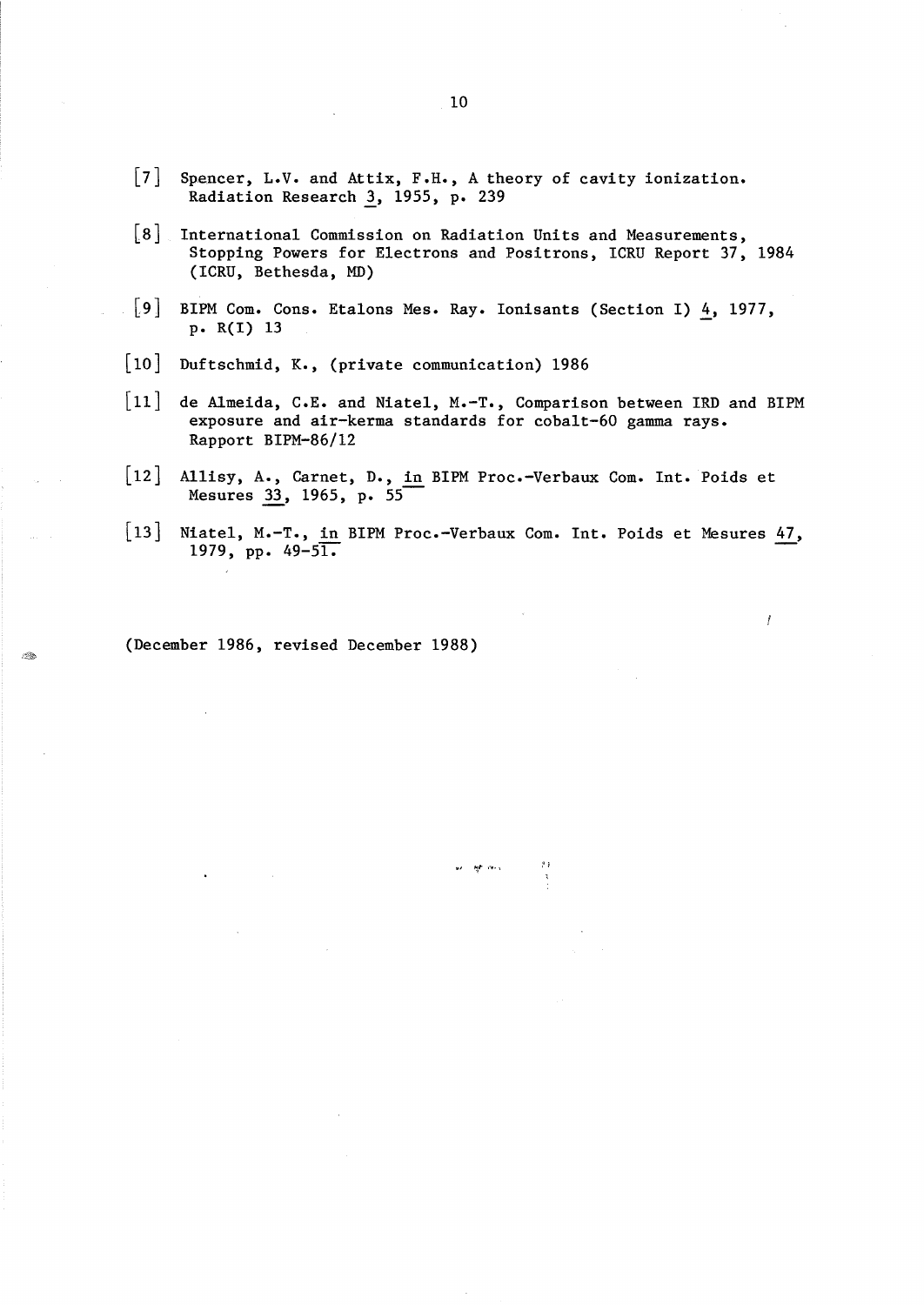- $\lceil 7 \rceil$ Spencer, L.V. and Attix, F.H., A theory of cavity ionization. Radiation Research *1,* 1955, p. 239
- $\lceil 8 \rceil$ International Commission on Radiation Units and Measurements, Stopping Powers for Electrons and Positrons, ICRU Report 37, 1984 (ICRU, Bethesda, MD)
- $\lceil 9 \rceil$ BIPM Com. Cons. Etalons Mes. Ray. Ionisants (Section I)  $\frac{4}{1}$ , 1977, p. R(I) 13
- [10] Duftschmid, K., (private communication) 1986
- $\lceil 11 \rceil$ de Almeida, C.E. and Niatel, M.-T., Comparison between IRD and BIPM exposure and air-kerma standards for cobalt-60 gamma rays. Rapport BIPM-86/12
- [12] Allisy, A., Carnet, D., in BIPM Proc.-Verbaux Com. Int. Poids et Mesures 33, 1965, p. 55
- [13] Niatel, M.-T., in BIPM Proc.-Verbaux Com. Int. Poids et Mesures  $47$ , 1979, pp. 49-51.

कर । <del>सुरा</del> समय

 $\boldsymbol{f}$ 

(December 1986, revised December 1988)

...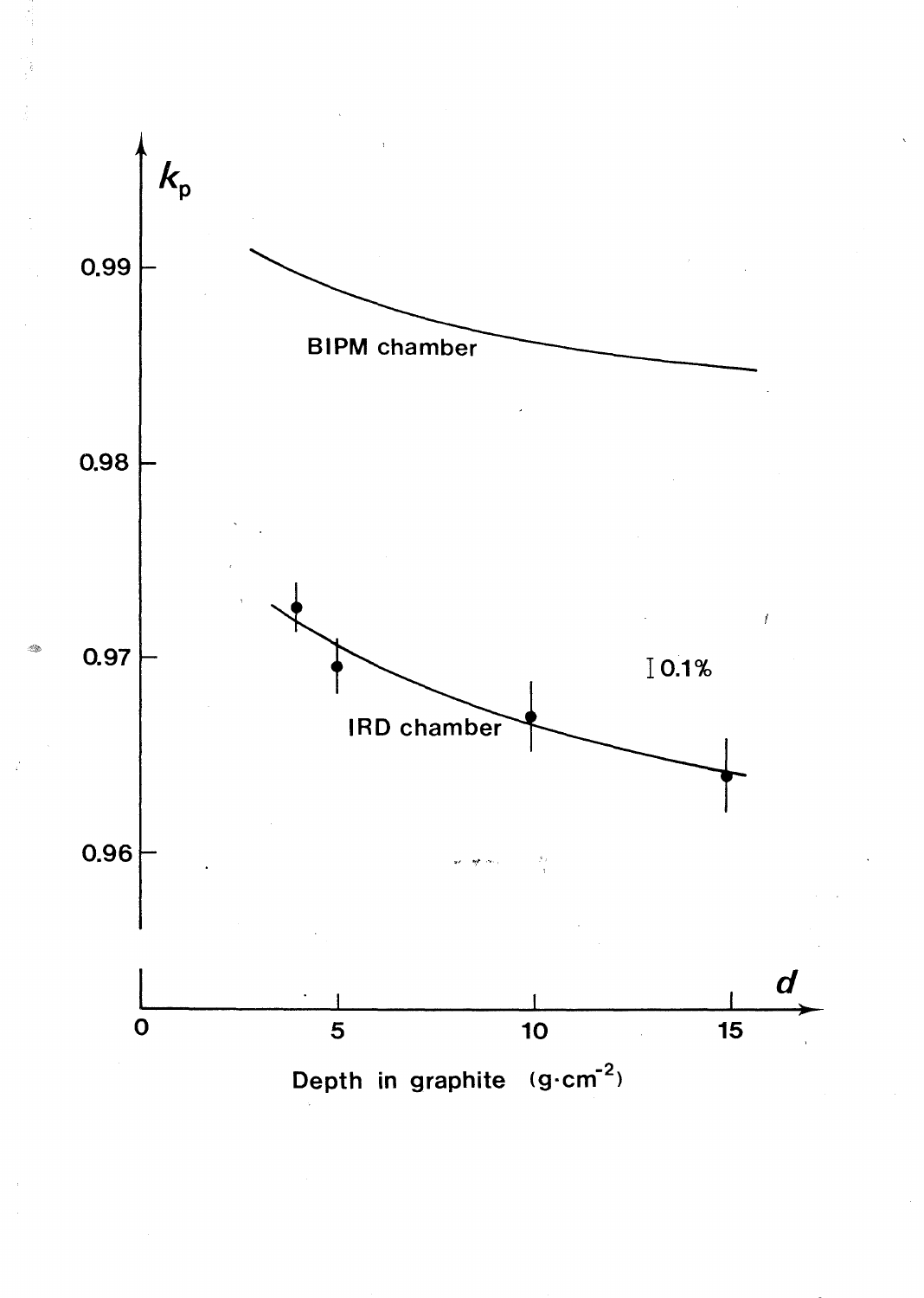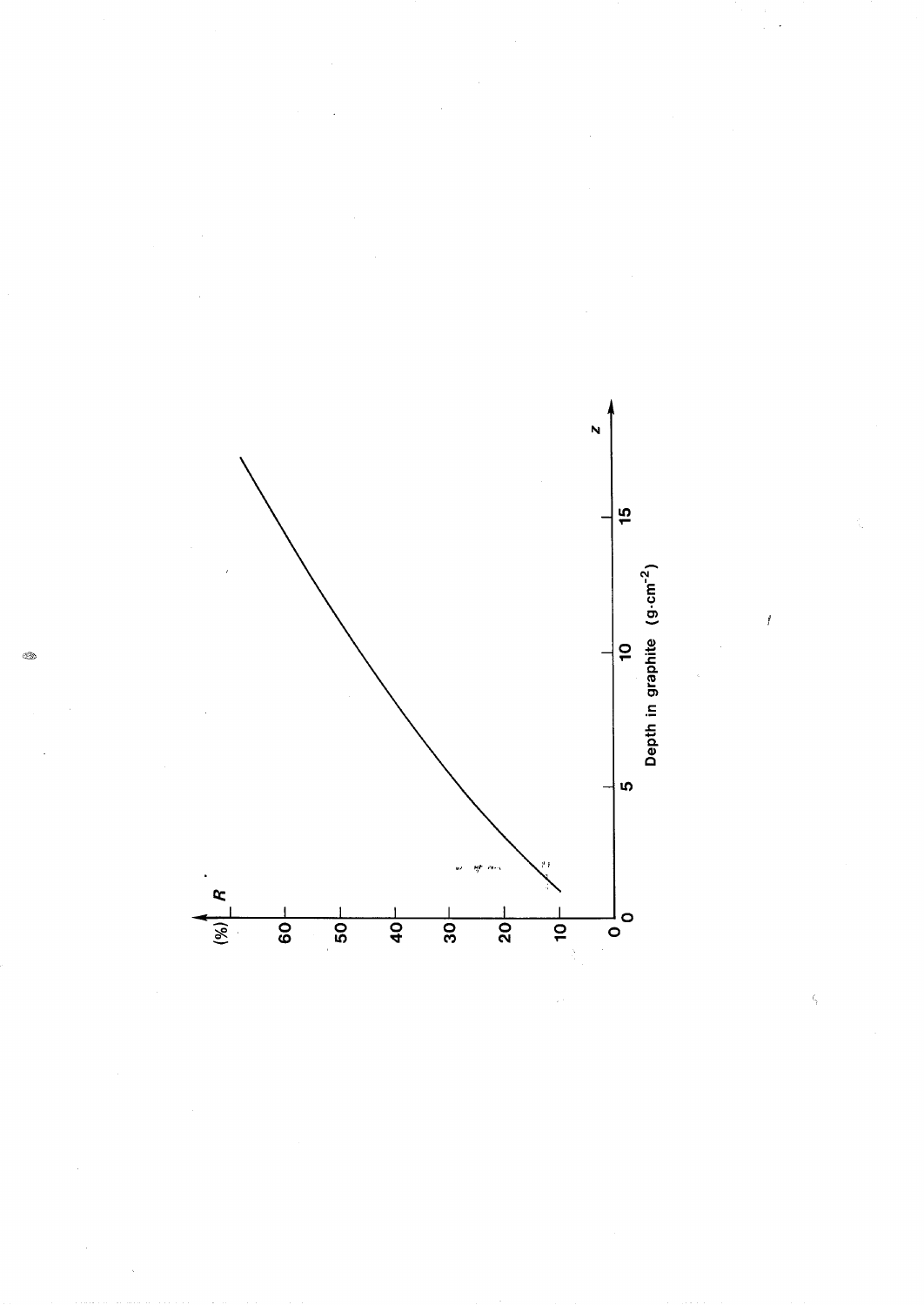

 $\boldsymbol{f}$ 

Q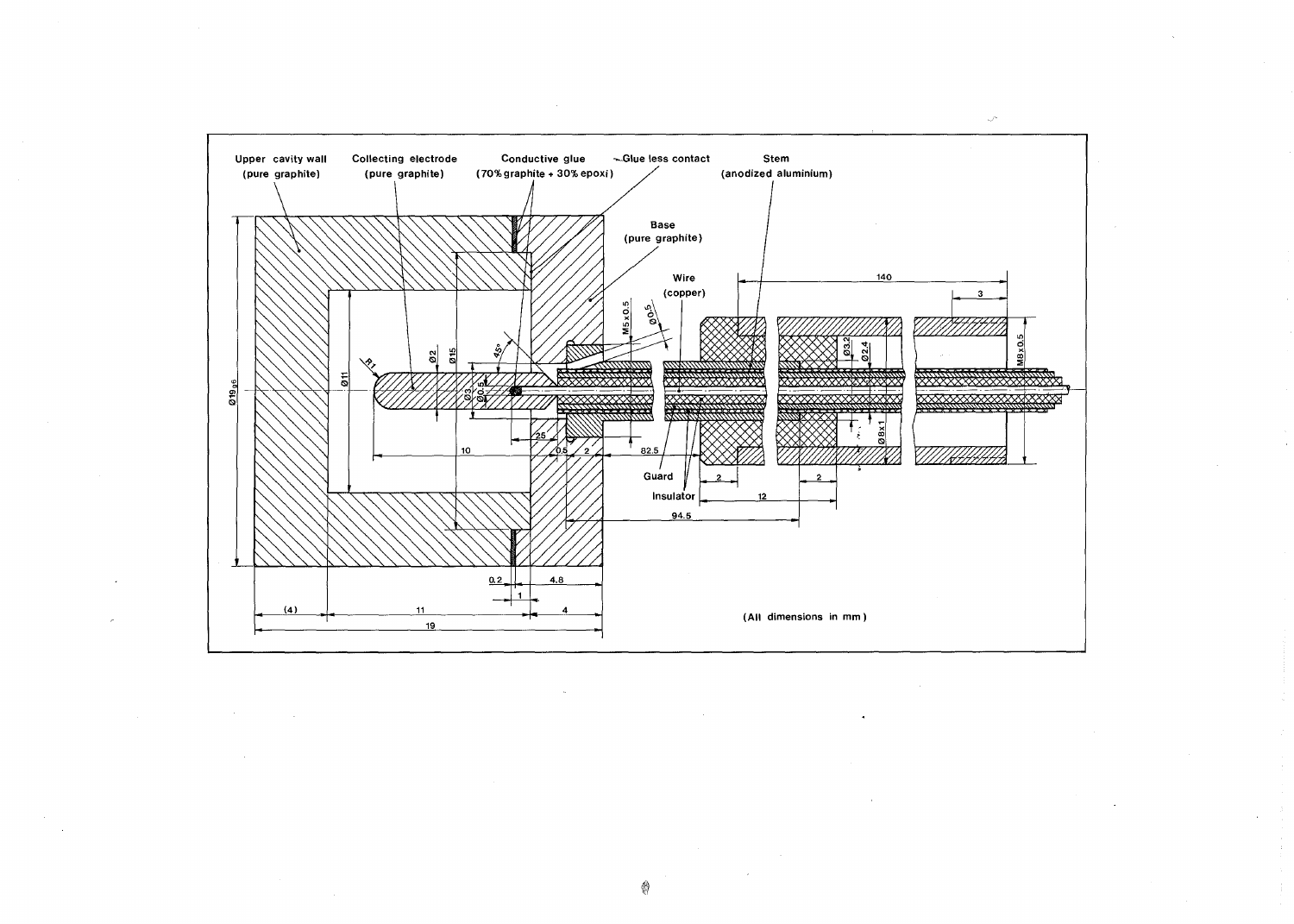

~